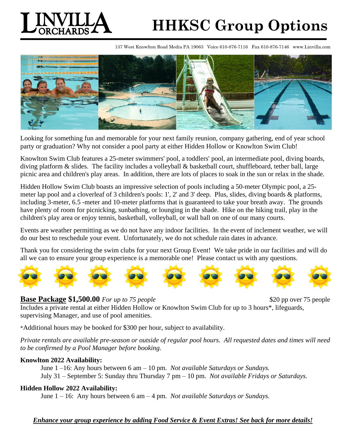

# **HHKSC Group Options**

137 West Knowlton Road Media PA 19063 Voice 610-876-7116 Fax 610-876-7146 www.Linvilla.com



Looking for something fun and memorable for your next family reunion, company gathering, end of year school party or graduation? Why not consider a pool party at either Hidden Hollow or Knowlton Swim Club!

Knowlton Swim Club features a 25-meter swimmers' pool, a toddlers' pool, an intermediate pool, diving boards, diving platform & slides. The facility includes a volleyball & basketball court, shuffleboard, tether ball, large picnic area and children's play areas. In addition, there are lots of places to soak in the sun or relax in the shade.

Hidden Hollow Swim Club boasts an impressive selection of pools including a 50-meter Olympic pool, a 25 meter lap pool and a cloverleaf of 3 children's pools: 1', 2' and 3' deep. Plus, slides, diving boards & platforms, including 3-meter, 6.5 -meter and 10-meter platforms that is guaranteed to take your breath away. The grounds have plenty of room for picnicking, sunbathing, or lounging in the shade. Hike on the hiking trail, play in the children's play area or enjoy tennis, basketball, volleyball, or wall ball on one of our many courts.

Events are weather permitting as we do not have any indoor facilities. In the event of inclement weather, we will do our best to reschedule your event. Unfortunately, we do not schedule rain dates in advance.

Thank you for considering the swim clubs for your next Group Event! We take pride in our facilities and will do all we can to ensure your group experience is a memorable one! Please contact us with any questions.



### **Base Package \$1,500.00** For up to 75 people \$20 pp over 75 people \$20 pp over 75 people

Includes a private rental at either Hidden Hollow or Knowlton Swim Club for up to 3 hours\*, lifeguards, supervising Manager, and use of pool amenities.

\*Additional hours may be booked for \$300 per hour, subject to availability.

*Private rentals are available pre-season or outside of regular pool hours. All requested dates and times will need to be confirmed by a Pool Manager before booking.* 

# **Knowlton 2022 Availability:**

June 1 –16: Any hours between 6 am – 10 pm. *Not available Saturdays or Sundays.*  July 31 – September 5: Sunday thru Thursday 7 pm – 10 pm. *Not available Fridays or Saturdays.* 

# **Hidden Hollow 2022 Availability:**

June 1 – 16: Any hours between 6 am – 4 pm. *Not available Saturdays or Sundays.* 

# *Enhance your group experience by adding Food Service & Event Extras! See back for more details!*